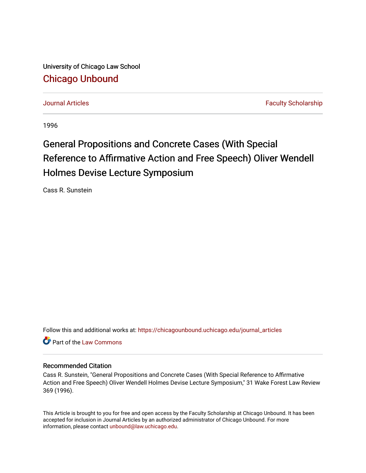University of Chicago Law School [Chicago Unbound](https://chicagounbound.uchicago.edu/)

[Journal Articles](https://chicagounbound.uchicago.edu/journal_articles) **Faculty Scholarship Journal Articles** 

1996

## General Propositions and Concrete Cases (With Special Reference to Affirmative Action and Free Speech) Oliver Wendell Holmes Devise Lecture Symposium

Cass R. Sunstein

Follow this and additional works at: [https://chicagounbound.uchicago.edu/journal\\_articles](https://chicagounbound.uchicago.edu/journal_articles?utm_source=chicagounbound.uchicago.edu%2Fjournal_articles%2F8383&utm_medium=PDF&utm_campaign=PDFCoverPages) 

**C** Part of the [Law Commons](http://network.bepress.com/hgg/discipline/578?utm_source=chicagounbound.uchicago.edu%2Fjournal_articles%2F8383&utm_medium=PDF&utm_campaign=PDFCoverPages)

### Recommended Citation

Cass R. Sunstein, "General Propositions and Concrete Cases (With Special Reference to Affirmative Action and Free Speech) Oliver Wendell Holmes Devise Lecture Symposium," 31 Wake Forest Law Review 369 (1996).

This Article is brought to you for free and open access by the Faculty Scholarship at Chicago Unbound. It has been accepted for inclusion in Journal Articles by an authorized administrator of Chicago Unbound. For more information, please contact [unbound@law.uchicago.edu](mailto:unbound@law.uchicago.edu).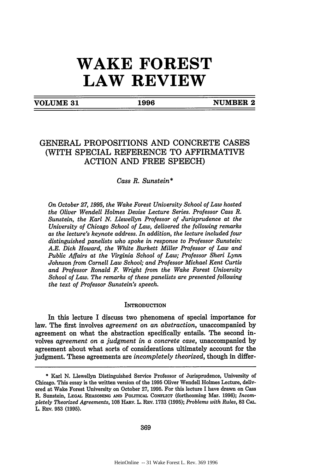# **WAKE FOREST LAW REVIEW**

**VOLUME 31 1996 NUMBER 2**

### **GENERAL** PROPOSITIONS **AND CONCRETE CASES** (WITH SPECIAL REFERENCE TO AFFIRMATIVE ACTION **AND** FREE **SPEECH)**

#### *Cass R. Sunstein\**

*On October 27, 1995, the Wake Forest University School of Law hosted the Oliver Wendell Holmes Devise Lecture Series. Professor Cass R. Sunstein, the Karl N. Llewellyn Professor of Jurisprudence at the University of Chicago School of Law, delivered the following remarks as the lecture's keynote address. In addition, the lecture included four distinguished panelists who spoke in response to Professor Sunstein: A.E. Dick Howard, the White Burkett Miller Professor of Law and Public Affairs at the Virginia School of Law; Professor Sheri Lynn Johnson from Cornell Law School; and Professor Michael Kent Curtis and Professor Ronald F. Wright from the Wake Forest University School of Law. The remarks of these panelists are presented following the text of Professor Sunstein's speech.*

#### **INTRODUCTION**

**In** this lecture I discuss two phenomena of special importance for law. The first involves *agreement on an abstraction,* unaccompanied **by** agreement on what the abstraction specifically entails. The second involves *agreement on a judgment in a concrete case,* unaccompanied by agreement about what sorts of considerations ultimately account for the judgment. These agreements are *incompletely theorized,* though in differ-

<sup>\*</sup> Karl **N.** Llewellyn Distinguished Service Professor of Jurisprudence, University of Chicago. This essay is the written version of the **1995** Oliver Wendell Holmes Lecture, delivered at Wake Forest University on October **27, 1995.** For this lecture I have drawn on Cass R. Sunstein, **LEGAL REASONING AND** POLrICAL **CONFLICT** (forthcoming Mar. **1996);** *Incompletely Theorized Agreements,* 108 **HARv.** L. REv. 1733 (1995); *Problems with Rules,* 83 CAL. L. REv. 953 (1995).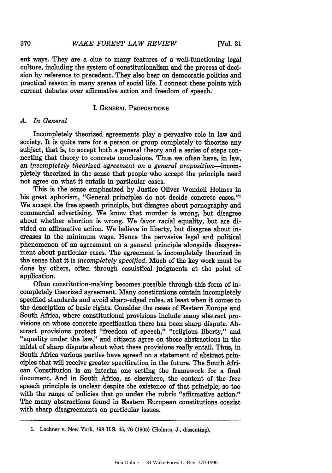ent ways. They are a clue to many features of a well-functioning legal culture, including the system of constitutionalism and the process of decision **by** reference to precedent. They also bear on democratic politics and practical reason in many arenas of social life. I connect these points with current debates over affirmative action and freedom of speech.

#### L **GENERAL** PROPOSITIONS

#### *A. In General*

Incompletely theorized agreements play a pervasive role in law and society. It is quite rare for a person or group completely to theorize any subject, that is, to accept both a general theory and a series of steps connecting that theory to concrete conclusions. Thus we often have, in law, an *incompletely theorized agreement on a general* proposition-incompletely theorized in the sense that people who accept the principle need not agree on what it entails in particular cases.

This is the sense emphasized by Justice Oliver Wendell Holmes in his great aphorism, "General principles do not decide concrete cases."<sup>1</sup> We accept the free speech principle, but disagree about pornography and commercial advertising. We know that murder is wrong, but disagree about whether abortion is wrong. We favor racial equality, but are divided on affirmative action. We believe in liberty, but disagree about increases in the minimum wage. Hence the pervasive legal and political phenomenon of an agreement on a general principle alongside disagreement about particular cases. The agreement is incompletely theorized in the sense that it is *incompletely specified.* Much of the key work must be done by others, often through casuistical judgments at the point of application.

Often constitution-making becomes possible through this form of incompletely theorized agreement. Many constitutions contain incompletely specified standards and avoid sharp-edged rules, at least when it comes to the description of basic rights. Consider the cases of Eastern Europe and South Africa, where constitutional provisions include many abstract provisions on whose concrete specification there has been sharp dispute. Abstract provisions protect "freedom of speech," "religious liberty," and "equality under the law," and citizens agree on those abstractions in the midst of sharp dispute about what these provisions really entail. Thus, in South Africa various parties have agreed on a statement of abstract principles that will receive greater specification in the future. The South African Constitution is an interim one setting the framework for a final document. And in South Africa, as elsewhere, the content of the free speech principle is unclear despite the existence of that principle; so too with the range of policies that go under the rubric "affirmative action." The many abstractions found in Eastern European constitutions coexist with sharp disagreements on particular issues.

<sup>1.</sup> Lochner v. New York, **198** U.S. 45, 76 (1905) (Holmes, J., dissenting).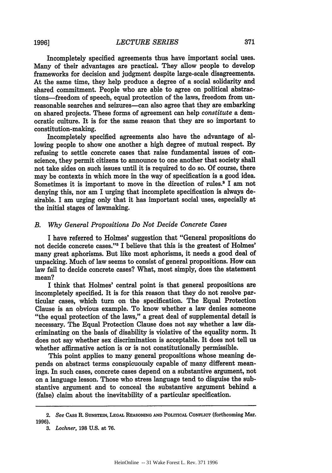Incompletely specified agreements thus have important social uses. Many of their advantages are practical. They allow people to develop frameworks for decision and judgment despite large-scale disagreements. At the same time, they help produce a degree of a social solidarity and shared commitment. People who are able to agree on political abstractions-freedom of speech, equal protection of the laws, freedom from unreasonable searches and seizures-can also agree that they are embarking on shared projects. These forms of agreement can help *constitute* a democratic culture. It is for the same reason that they are so important to constitution-making.

Incompletely specified agreements also have the advantage of allowing people to show one another a high degree of mutual respect. **By** refusing to settle concrete cases that raise fundamental issues of conscience, they permit citizens to announce to one another that society shall not take sides on such issues until it is required to do so. **Of** course, there may be contexts in which more in the way of specification is a good idea. Sometimes it is important to move in the direction of rules. <sup>2</sup>**I** am not denying this, nor am I urging that incomplete specification is always desirable. I am urging only that it has important social uses, especially at the initial stages of lawmaking.

#### *B. Why General Propositions Do Not Decide Concrete Cases*

I have referred to Holmes' suggestion that "General propositions do not decide concrete cases."' I believe that this is the greatest of Holmes' many great aphorisms. But like most aphorisms, it needs a good deal of unpacking. Much of law seems to consist of general propositions. How can law fail to decide concrete cases? What, most simply, does the statement mean?

I think that Holmes' central point is that general propositions are incompletely specified. It is for this reason that they do not resolve particular cases, which turn on the specification. The Equal Protection Clause is an obvious example. To know whether a law denies someone "the equal protection of the laws," a great deal of supplemental detail is necessary. The Equal Protection Clause does not say whether a law discriminating on the basis of disability is violative of the equality norm. It does not say whether sex discrimination is acceptable. It does not tell us whether affirmative action is or is not constitutionally permissible.

This point applies to many general propositions whose meaning depends on abstract terms conspicuously capable of many different meanings. In such cases, concrete cases depend on a substantive argument, not on a language lesson. Those who stress language tend to disguise the substantive argument and to conceal the substantive argument behind a (false) claim about the inevitability of a particular specification.

*<sup>2.</sup> See* **CAss R. SUNSTEiN, LEGAL REASONING AND POLITICAL** CONFLICT (forthcoming Mar. **1996).**

*<sup>3.</sup> Lochner,* **198 U.S.** at **76.**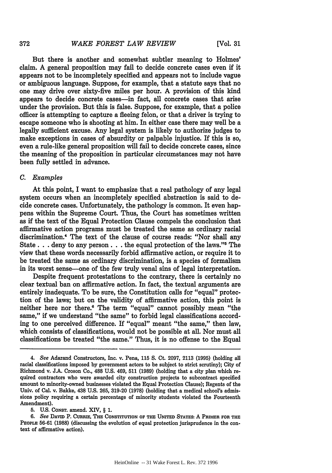But there is another and somewhat subtler meaning to Holmes' claim. A general proposition may fail to decide concrete cases even if it appears not to be incompletely specified and appears not to include vague or ambiguous language. Suppose, for example, that a statute says that no one may drive over sixty-five miles per hour. A provision of this kind appears to decide concrete cases-in fact, all concrete cases that arise under the provision. But this is false. Suppose, for example, that a police officer is attempting to capture a fleeing felon, or that a driver is trying to escape someone who is shooting at him. In either case there may well be a legally sufficient excuse. Any legal system is likely to authorize judges to make exceptions in cases of absurdity or palpable injustice. If this is so, even a rule-like general proposition will fail to decide concrete cases, since the meaning of the proposition in particular circumstances may not have been fully settled in advance.

#### *C. Examples*

At this point, I want to emphasize that a real pathology of any legal system occurs when an incompletely specified abstraction is said to decide concrete cases. Unfortunately, the pathology is common. It even happens within the Supreme Court. Thus, the Court has sometimes written as **if** the text of the Equal Protection Clause compels the conclusion that affirmative action programs must be treated the same as ordinary racial discrimination.<sup>4</sup> The text of the clause of course reads: "Nor shall any State. **.** .deny to any person. **. .** the equal protection of the laws."" The view that these words necessarily forbid affirmative action, or require it to be treated the same as ordinary discrimination, is a species of formalism in its worst sense-one of the few truly venal sins of legal interpretation.

Despite frequent protestations to the contrary, there is certainly no clear textual ban on affirmative action. In fact, the textual arguments are entirely inadequate. To be sure, the Constitution calls for "equal" protection of the laws; but on the validity of affirmative action, this point is neither here nor there.6 The term "equal" cannot possibly mean "the same," if we understand "the same" to forbid legal classifications according to one perceived difference. If "equal" meant "the same," then law, which consists of classifications, would not be possible at all. Nor must all classifications be treated "the same." Thus, it is no offense to the Equal

**6.** See **DAvID** P. **CuRIE, THE** CONSTITUTION **OF THE UNITED** STATES: A PRIMER FOR THE PEOPLE **56-61 (1988)** (discussing the evolution of equal protection jurisprudence in the context of affirmative action).

*<sup>4.</sup>* See Adarand Constructors, Inc. v. Pena, **115 S.** Ct. 2097, 2113 (1995) (holding all racial classifications imposed by government actors to be subject to strict scrutiny); City of Richmond v. J.A. Croson Co., **488** U.S. 469, **511** (1989) (holding that a city plan which required contractors who were awarded city construction projects to subcontract specified amount to minority-owned businesses violated the Equal Protection Clause); Regents of the Univ. of Cal. v. Bakke, 438 U.S. 265, 319-20 (1978) (holding that a medical school's admissions policy requiring a certain percentage of minority students violated the Fourteenth Amendment).

**<sup>5.</sup> US.** CONST. amend. **XIV,** § **1.**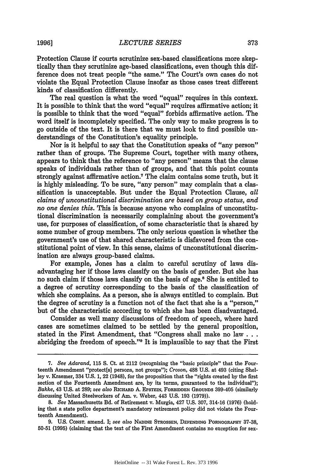Protection Clause if courts scrutinize sex-based classifications more skeptically than they scrutinize age-based classifications, even though this difference does not treat people "the same." The Court's own cases do not violate the Equal Protection Clause insofar as those cases treat different kinds of classification differently.

The real question is what the word "equal" requires in this context. It is possible to think that the word "equal" requires affirmative action; it is possible to think that the word "equal" forbids affirmative action. The word itself is incompletely specified. The only way to make progress is to go outside of the text. It is there that we must look to find possible understandings of the Constitution's equality principle.

Nor is it helpful to say that the Constitution speaks of "any person" rather than of groups. The Supreme Court, together with many others, appears to think that the reference to "any person" means that the clause speaks of individuals rather than of groups, and that this point counts strongly against affirmative action.7 The claim contains some truth, but it is **highly** misleading. To be sure, "any person" may complain that a classification is unacceptable. But under the Equal Protection Clause, *all claims of unconstitutional discrimination are based on group status, and no one denies this.* This is because anyone who complains of unconstitutional discrimination is necessarily complaining about the government's use, for purposes of classification, of some characteristic that is shared by some number of group members. The only serious question is whether the government's use of that shared characteristic is disfavored from the constitutional point of view. In this sense, claims of unconstitutional discrimination are always group-based claims.

For example, Jones has a claim to careful scrutiny of laws disadvantaging her if those laws classify on the basis of gender. But she has no such claim if those laws classify on the basis of age.8 She is entitled to a degree of scrutiny corresponding to the basis of the classification of which she complains. As a person, she is always entitled to complain. But the degree of scrutiny is a function not of the fact that she is a "person," but of the characteristic according to which she has been disadvantaged.

Consider as well many discussions of freedom of speech, where hard cases are sometimes claimed to be settled by the general proposition, stated in the First Amendment, that "Congress shall make no law **. . .** abridging the freedom of speech."<sup>9</sup> It is implausible to say that the First

*<sup>7.</sup> See Adarand,* 115 **S.** Ct. at 2112 (recognizing the "basic principle" that the Fourteenth Amendment "protect[s] persons, not groups"); *Croson,* 488 U.S. at 493 (citing Shelley v. Kraemer, 334 U.S. 1, 22 (1948), for the proposition that the "rights created by the first section of the Fourteenth Amendment are, by its terms, guaranteed to the individual"); *Bakke,* 43 **U.S.** at **289;** *see also* RICHARD A. EPSTEIN, **FORBIDDEN GRoUNDs** 399-405 (similarly discussing United Steelworkers of Am. v. Weber, 443 U.S. 193 (1979)).

*<sup>8.</sup> See* Massachusetts Bd. of Retirement v. Murgia, 427 U.S. 307, 314-16 (1976) (holding that a state police department's mandatory retirement policy did not violate the Fourteenth Amendment).

**<sup>9.</sup> U.S.** CONsT. amend. I; *see also* **NADNE STROSSEN, DEFENDING PORNOGRAPHY 37-38, 50-51 (1995)** (claiming that the text of the First Amendment contains no exception for sex-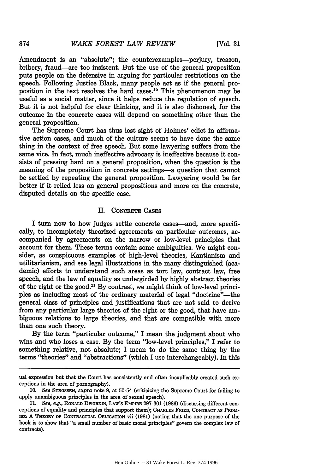Amendment is an "absolute"; the counterexamples-perjury, treason, bribery, fraud-are too insistent. But the use of the general proposition puts people on the defensive in arguing for particular restrictions on the speech. Following Justice Black, many people act as if the general proposition in the text resolves the hard cases.10 This phenomenon may be useful as a social matter, since it helps reduce the regulation of speech. But it is not helpful for clear thinking, and it is also dishonest, for the outcome in the concrete cases will depend on something other than the general proposition.

The Supreme Court has thus lost sight of Holmes' edict in affirmative action cases, and much of the culture seems to have done the same thing in the context of free speech. But some lawyering suffers from the same vice. In fact, much ineffective advocacy is ineffective because it consists of pressing hard on a general proposition, when the question is the meaning of the proposition in concrete settings-a question that cannot be settled **by** repeating the general proposition. Lawyering would be far better if it relied less on general propositions and more on the concrete, disputed details on the specific case.

#### II. **CONCRETE CASES**

I turn now to how judges settle concrete cases—and, more specifically, to incompletely theorized agreements on particular outcomes, accompanied **by** agreements on the narrow or low-level principles that account for them. These terms contain some ambiguities. We might consider, as conspicuous examples of high-level theories, Kantianism and utilitarianism, and see legal illustrations in the many distinguished (academic) efforts to understand such areas as tort law, contract law, free speech, and the law of equality as undergirded **by highly** abstract theories of the right or the good." **By** contrast, we might think of low-level principles as including most of the ordinary material of legal "doctrine"—the general class of principles and justifications that are not said to derive from any particular large theories of the right or the good, that have ambiguous relations to large theories, and that are compatible with more than one such theory.

**By** the term "particular outcome," I mean the judgment about who wins and who loses a case. **By** the term "low-level principles," I refer to something relative, not absolute; I mean to do the same thing **by** the terms "theories" and "abstractions" (which I use interchangeably). In this

ual expression but that the Court has consistently and often inexplicably created such exceptions in the area of pornography).

**<sup>10.</sup>** *See STROSSEN, supra* note **9,** at 50-54 (criticizing the Supreme Court for failing to apply unambiguous principles in the area of sexual speech).

**<sup>11.</sup>** *See, e.g.,* RONALD DwoRKiN, LAW'S **EMPIRE 297-301 (1986)** (discussing different conceptions of equality and principles that support them); CHARLES FRIED, CONTRACT **AS** PROI-**ISE:** A **THEORY OF** CoNTRACTuAL **OBLIGATION** vii **(1981)** (noting that the one purpose of the book is to show that "a small number of basic moral principles" govern the complex law of contracts).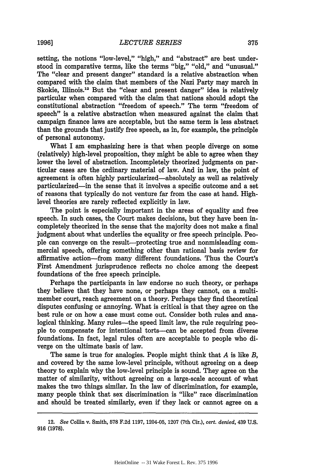setting, the notions "low-level," "high," and "abstract" are best understood in comparative terms, like the terms "big," "old," and "unusual." The "clear and present danger" standard is a relative abstraction when compared with the claim that members of the Nazi Party may march in Skokie, Illinois.<sup>12</sup> But the "clear and present danger" idea is relatively particular when compared with the claim that nations should adopt the constitutional abstraction "freedom of speech." The term "freedom of speech" is a relative abstraction when measured against the claim that campaign finance laws are acceptable, but the same term is less abstract than the grounds that justify free speech, as in, for example, the principle of personal autonomy.

What I am emphasizing here is that when people diverge on some (relatively) high-level proposition, they might be able to agree when they lower the level of abstraction. Incompletely theorized judgments on particular cases are the ordinary material of law. And in law, the point of agreement is often **highly** particularized-absolutely as well as relatively particularized-in the sense that it involves a specific outcome and a set of reasons that typically do not venture far from the case at hand. Highlevel theories are rarely reflected explicitly in law.

The point is especially important in the areas of equality and free speech. In such cases, the Court makes decisions, but they have been incompletely theorized in the sense that the majority does not make a final judgment about what underlies the equality or free speech principle. Peo**ple** can converge on the result-protecting true and nonmisleading commercial speech, offering something other than rational basis review for affirmative action-from many different foundations. Thus the **Court's** First Amendment jurisprudence reflects no choice among the deepest foundations of the free speech principle.

Perhaps the participants in law endorse no such theory, or perhaps they believe that they have none, or perhaps they cannot, on a multimember court, reach agreement on a theory. Perhaps they find theoretical disputes confusing or annoying. What is critical is that they agree on the best rule or on how a case must come out. Consider both rules and analogical thinking. Many rules—the speed limit law, the rule requiring people to compensate for intentional torts-can be accepted from diverse foundations. In fact, legal rules often are acceptable to people who diverge on the ultimate basis of law.

The same is true for analogies. People might think that *A* is like *B,* and covered **by** the same low-level principle, without agreeing on a deep theory to explain why the low-level principle is sound. They agree on the matter of similarity, without agreeing on a large-scale account of what makes the two things similar. In the law of discrimination, for example, many people think that sex discrimination is "like" race discrimination and should be treated similarly, even if they lack or cannot agree on a

<sup>12.</sup> *See* Colin v. Smith, **578 F.2d 1197, 1204-05, 1207** (7th Cir.), *cert. denied,* 439 **U.S. 916 (1978).**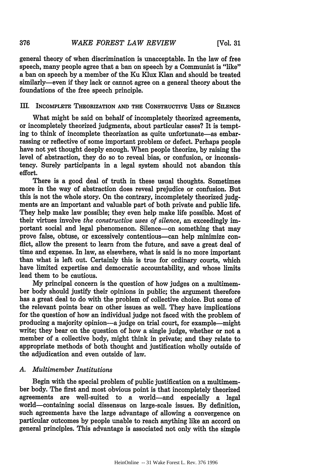general theory of when discrimination is unacceptable. In the law of free speech, many people agree that a ban on speech **by** a Communist is "like" a ban on speech **by** a member of the Ku Klux Klan and should be treated similarly-even if they lack or cannot agree on a general theory about the foundations of the free speech principle.

#### I. INCOMPLETE **THEORIZATION AND THE CONSTRUCTIVE USES OF SILENCE**

What might be said on behalf of incompletely theorized agreements, or incompletely theorized judgments, about particular cases? It is tempting to think of incomplete theorization as quite unfortunate-as embarrassing or reflective of some important problem or defect. Perhaps people have not yet thought deeply enough. When people theorize, **by** raising the level of abstraction, they do so to reveal bias, or confusion, or inconsistency. Surely participants in a legal system should not abandon this effort.

There is a good deal of truth in these usual thoughts. Sometimes more in the way of abstraction does reveal prejudice or confusion. But this is not the whole story. On the contrary, incompletely theorized judgments are an important and valuable part of both private and public life. They help make law possible; they even help make life possible. Most of their virtues involve *the constructive uses of silence,* an exceedingly important social and legal phenomenon. Silence-on something that may prove false, obtuse, or excessively contentious-can help minimize conflict, allow the present to learn from the future, and save a great deal of time and expense. In law, as elsewhere, what is said is no more important than what is left out. Certainly this is true for ordinary courts, which have limited expertise and democratic accountability, and whose limits lead them to be cautious.

My principal concern is the question of how judges on a multimember body should justify their opinions in public; the argument therefore has a great deal to do with the problem of collective choice. But some of the relevant points bear on other issues as well. They have implications for the question of how an individual judge not faced with the problem of producing a majority opinion-a judge on trial court, for example-might write; they bear on the question of how a single judge, whether or not a member of a collective body, might think in private; and they relate to appropriate methods of both thought and justification wholly outside of the adjudication and even outside of law.

#### *A. Multimember Institutions*

Begin with the special problem of public justification on a multimember body. The first and most obvious point is that incompletely theorized agreements are well-suited to a world-and especially a legal world-containing social dissensus on large-scale issues. By definition, such agreements have the large advantage of allowing a convergence on particular outcomes by people unable to reach anything like an accord on general principles. This advantage is associated not only with the simple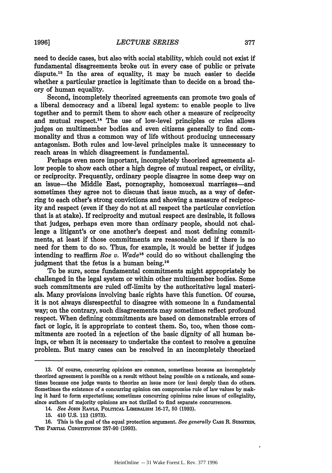need to decide cases, but also with social stability, which could not exist if fundamental disagreements broke out in every case of public or private dispute.13 In the area of equality, it may be much easier to decide whether a particular practice is legitimate than to decide on a broad theory of human equality.

Second, incompletely theorized agreements can promote two goals of a liberal democracy and a liberal legal system: to enable people to live together and to permit them to show each other a measure of reciprocity and mutual respect.<sup>14</sup> The use of low-level principles or rules allows judges on multimember bodies and even citizens generally to find commonality and thus a common way of life without producing unnecessary antagonism. Both rules and low-level principles make it unnecessary to reach areas in which disagreement is fundamental.

Perhaps even more important, incompletely theorized agreements allow people to show each other a high degree of mutual respect, or civility, or reciprocity. Frequently, ordinary people disagree in some deep way on an issue—the Middle East, pornography, homosexual marriages—and sometimes they agree not to discuss that issue much, as a way of deferring to each other's strong convictions and showing a measure of reciprocity and respect (even if they do not at all respect the particular conviction that is at stake). If reciprocity and mutual respect are desirable, it follows that judges, perhaps even more than ordinary people, should not challenge a litigant's or one another's deepest and most defining commitments, at least if those commitments are reasonable and if there is no need for them to do so. Thus, for example, it would be better if judges intending to reaffirm *Roe v. Wade"* could do so without challenging the judgment that the fetus is a human being.<sup>16</sup>

To be sure, some fundamental commitments might appropriately be challenged in the legal system or within other multimember bodies. Some such commitments are ruled off-limits by the authoritative legal materials. Many provisions involving basic rights have this function. Of course, it is not always disrespectful to disagree with someone in a fundamental way; on the contrary, such disagreements may sometimes reflect profound respect. When defining commitments are based on demonstrable errors of fact or logic, it is appropriate to contest them. So, too, when those commitments are rooted in a rejection of the basic dignity of all human beings, or when it is necessary to undertake the contest to resolve a genuine problem. But many cases can be resolved in an incompletely theorized

<sup>13.</sup> Of course, concurring opinions are common, sometimes because an incompletely theorized agreement is possible on a result without being possible on a rationale, and sometimes because one judge wants to theorize an issue more (or less) deeply than do others. Sometimes the existence of a concurring opinion can compromise rule of law values by making it hard to form expectations; sometimes concurring opinions raise issues of collegiality, since authors of majority opinions are not thrilled to find separate concurrences.

<sup>14.</sup> *See JOHN RAWLS, POLITICAL LIBERALISM 16-17, 50 (1993).* 

**<sup>15.</sup>** 410 **U.S. 113** (1973).

<sup>16.</sup> This is the goal of the equal protection argument. *See generally* CASS R. **SUNSTEIN,** THE PARTIAL CONSTITUTION 257-90 (1993).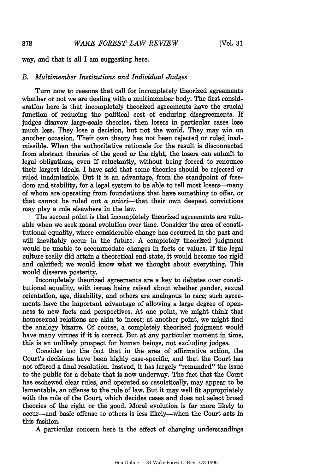way, and that is all I am suggesting here.

#### *B. Multimember Institutions and Individual Judges*

Turn now to reasons that call for incompletely theorized agreements whether or not we are dealing with a multimember body. The first consideration here is that incompletely theorized agreements have the crucial function of reducing the political cost of enduring disagreements. If judges disavow large-scale theories, then losers in particular cases lose much less. They lose a decision, but not the world. They may win on another occasion. Their own theory has not been rejected or ruled inadmissible. When the authoritative rationale for the result is disconnected from abstract theories of the good or the right, the losers can submit to legal obligations, even if reluctantly, without being forced to renounce their largest ideals. I have said that some theories should be rejected or ruled inadmissible. But it is an advantage, from the standpoint of freedom and stability, for a legal system to be able to tell most losers—many of whom are operating from foundations that have something to offer, or that cannot be ruled out *a priori-that* their own deepest convictions may play a role elsewhere in the law.

The second point is that incompletely theorized agreements are valuable when we seek moral evolution over time. Consider the area of constitutional equality, where considerable change has occurred in the past and will inevitably occur in the future. A completely theorized judgment would be unable to accommodate changes in facts or values. If the legal culture really did attain a theoretical end-state, it would become too rigid and calcified; we would know what we thought about everything. This would disserve posterity.

Incompletely theorized agreements are a key to debates over constitutional equality, with issues being raised about whether gender, sexual orientation, age, disability, and others are analogous to race; such agreements have the important advantage of allowing a large degree of openness to new facts and perspectives. At one point, we might think that homosexual relations are akin to incest; at another point, we might find the analogy bizarre. Of course, a completely theorized judgment would have many virtues if it is correct. But at any particular moment in time, this is an unlikely prospect for human beings, not excluding judges.

Consider too the fact that in the area of affirmative action, the Court's decisions have been highly case-specific, and that the Court has not offered a final resolution. Instead, it has largely "remanded" the issue to the public for a debate that is now underway. The fact that the Court has eschewed clear rules, and operated so casuistically, may appear to be lamentable, an offense to the rule of law. But it may well fit appropriately with the role of the Court, which decides cases and does not select broad theories of the right or the good. Moral evolution is far more likely to occur-and basic offense to others is less likely-when the Court acts in this fashion.

A particular concern here is the effect of changing understandings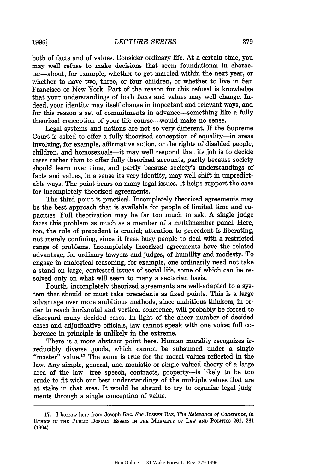both of facts and of values. Consider ordinary life. At a certain time, you may well refuse to make decisions that seem foundational in character-about, for example, whether to get married within the next year, or whether to have two, three, or four children, or whether to live in San Francisco or New York. Part of the reason for this refusal is knowledge that your understandings of both facts and values may well change. Indeed, your identity may itself change in important and relevant ways, and for this reason a set of commitments in advance-something like a **fully** theorized conception of your life course-would make no sense.

Legal systems and nations are not so very different. If the Supreme Court is asked to offer a fully theorized conception of equality-in areas involving, for example, affirmative action, or the rights of disabled people, children, and homosexuals-it may well respond that its **job** is to decide cases rather than to offer fully theorized accounts, partly because society should learn over time, and partly because society's understandings of facts and values, in a sense its very identity, may well shift in unpredictable ways. The point bears on many legal issues. It helps support the case for incompletely theorized agreements.

The third point is practical. Incompletely theorized agreements may be the best approach that is available for people of limited time and capacities. Full theorization may be far too much to ask. **A** single judge faces this problem as much as a member of a multimember panel. Here, too, the rule of precedent is crucial; attention to precedent is liberating, not merely confining, since it frees busy people to deal with a restricted range of problems. Incompletely theorized agreements have the related advantage, for ordinary lawyers and judges, of humility and modesty. To engage in analogical reasoning, for example, one ordinarily need not take a stand on large, contested issues of social life, some of which can be resolved only on what will seem to many a sectarian basis.

Fourth, incompletely theorized agreements are well-adapted to a system that should or must take precedents as fixed points. This is a large advantage over more ambitious methods, since ambitious thinkers, in order to reach horizontal and vertical coherence, will probably be forced to disregard many decided cases. In light of the sheer number of decided cases and adjudicative officials, law cannot speak with one voice; **full** coherence in principle is unlikely in the extreme.

There is a more abstract point here. Human morality recognizes irreducibly diverse goods, which cannot be subsumed under a single "master" value. 17 The same is true for the moral values reflected in the law. Any simple, general, and monistic or single-valued theory of a large area of the law-free speech, contracts, property-is likely to be too crude to fit with our best understandings of the multiple values that are at stake in that area. It would be absurd to try to organize legal **judg**ments through a single conception of value.

**<sup>17.</sup> I borrow here from Joseph Raz.** *See* **JOSEPH RAZ,** *The Relevance of Coherence, in* **ETHICS IN THE PUBLIC DOMAIN: ESSAYS IN THE MORALITY OF LAW AND POLITICS 261, 261 (1994).**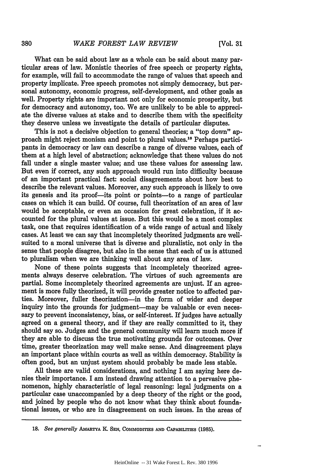380

What can be said about law as a whole can be said about many particular areas of law. Monistic theories of free speech or property rights, for example, will fail to accommodate the range of values that speech and property implicate. Free speech promotes not simply democracy, but personal autonomy, economic progress, self-development, and other goals as well. Property rights are important not only for economic prosperity, but for democracy and autonomy, too. We are unlikely to be able to appreciate the diverse values at stake and to describe them with the specificity they deserve unless we investigate the details of particular disputes.

This is not a decisive objection to general theories; a "top down" approach might reject monism and point to plural values.18 Perhaps participants in democracy or law can describe a range of diverse values, each of them at a high level of abstraction; acknowledge that these values do not fall under a single master value; and use these values for assessing law. But even **if** correct, any such approach would run into difficulty because of an important practical fact: social disagreements about how best to describe the relevant values. Moreover, any such approach is likely to owe its genesis and its proof—its point or points—to a range of particular cases on which it can build. Of course, full theorization of an area of law would be acceptable, or even an occasion for great celebration, if it accounted for the plural values at issue. But this would be a most complex task, one that requires identification of a wide range of actual and likely cases. At least we can say that incompletely theorized judgments are wellsuited to a moral universe that is diverse and pluralistic, not only in the sense that people disagree, but also in the sense that each of us is attuned to pluralism when we are thinking well about any area of law.

None of these points suggests that incompletely theorized agreements always deserve celebration. The virtues of such agreements are partial. Some incompletely theorized agreements are unjust. If an agreement is more fully theorized, it will provide greater notice to affected parties. Moreover, fuller theorization-in the form of wider and deeper inquiry into the grounds for judgment—may be valuable or even necessary to prevent inconsistency, bias, or self-interest. If judges have actually agreed on a general theory, and if they are really committed to it, they should say so. Judges and the general community will learn much more if they are able to discuss the true motivating grounds for outcomes. Over time, greater theorization may well make sense. And disagreement plays an important place within courts as well as within democracy. Stability is often good, but an unjust system should probably be made less stable.

All these are valid considerations, and nothing I am saying here denies their importance. I am instead drawing attention to a pervasive phenomenon, highly characteristic of legal reasoning: legal judgments on a particular case unaccompanied by a deep theory of the right or the good, and joined by people who do not know what they think about foundational issues, or who are in disagreement on such issues. In the areas of

**<sup>18.</sup>** *See generally* **AMARTYA K. SEN, COMMODITIES AND CAPABILITIES (1985).**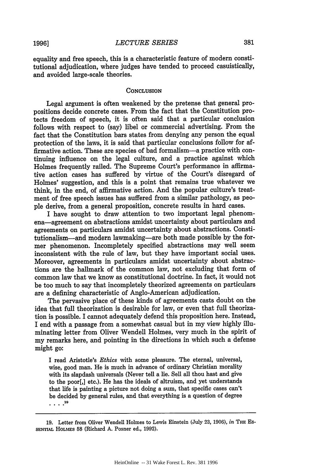equality and free speech, this is a characteristic feature of modern constitutional adjudication, where judges have tended to proceed casuistically, and avoided large-scale theories.

#### **CONCLUSION**

Legal argument is often weakened **by** the pretense that general propositions decide concrete cases. From the fact that the Constitution protects freedom of speech, it is often said that a particular conclusion follows with respect to (say) libel or commercial advertising. From the fact that the Constitution bars states from denying any person the equal protection of the laws, it is said that particular conclusions follow for affirmative action. These are species of bad formalism-a practice with continuing influence on the legal culture, and a practice against which Holmes frequently railed. The Supreme Court's performance in affirmative action cases has suffered **by** virtue of the Court's disregard of Holmes' suggestion, and this is a point that remains true whatever we think, in the end, of affirmative action. And the popular culture's treatment of free speech issues has suffered from a similar pathology, as people derive, from a general proposition, concrete results in hard cases.

I have sought to draw attention to two important legal phenomena-agreement on abstractions amidst uncertainty about particulars and agreements on particulars amidst uncertainty about abstractions. Constitutionalism-and modern lawmaking-are both made possible **by** the former phenomenon. Incompletely specified abstractions may well seem inconsistent with the rule of law, but they have important social uses. Moreover, agreements in particulars amidst uncertainty about abstractions are the hallmark of the common law, not excluding that form of common law that we know as constitutional doctrine. In fact, it would not be too much to say that incompletely theorized agreements on particulars are a defining characteristic of Anglo-American adjudication.

The pervasive place of these kinds of agreements casts doubt on the idea that full theorization is desirable for law, or even that full theorization is possible. I cannot adequately defend this proposition here. Instead, I end with a passage from a somewhat casual but in my view **highly illu**minating letter from Oliver Wendell Holmes, very much in the spirit of my remarks here, and pointing in the directions in which such a defense might go:

I read Aristotle's *Ethics* with some pleasure. The eternal, universal, wise, good man. He is much in advance of ordinary Christian morality with its slapdash universals (Never tell a lie. Sell all thou hast and give to the poor[,] etc.). He has the ideals of altruism, and yet understands that life is painting a picture not doing a sum, that specific cases can't be decided by general rules, and that everything is a question of degree  $\cdots$   $\cdot^{19}$ 

**<sup>19.</sup>** Letter from Oliver Wendell Holmes to Lewis Einstein (July **23, 1906),** *in* **THE** Es-**SENTIAL** HOLiEs **58** (Richard **A.** Posner ed., **1992).**